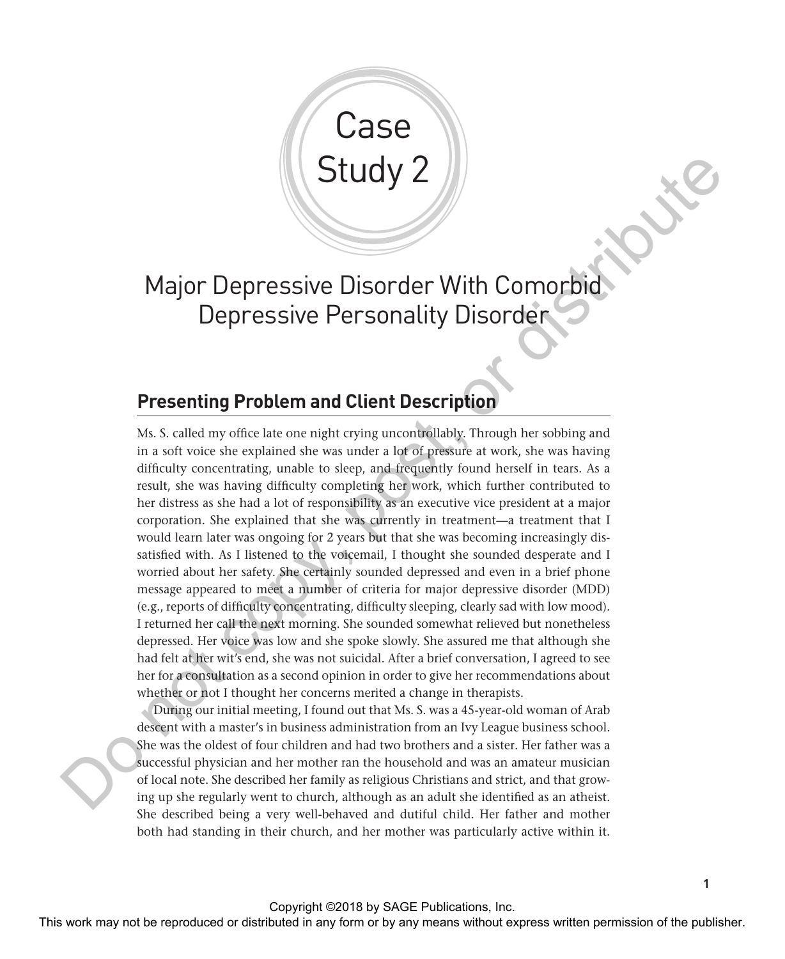# Case Study 2

Major Depressive Disorder With Comorbid Depressive Personality Disorder

## **Presenting Problem and Client Description**

Ms. S. called my office late one night crying uncontrollably. Through her sobbing and in a soft voice she explained she was under a lot of pressure at work, she was having difficulty concentrating, unable to sleep, and frequently found herself in tears. As a result, she was having difficulty completing her work, which further contributed to her distress as she had a lot of responsibility as an executive vice president at a major corporation. She explained that she was currently in treatment—a treatment that I would learn later was ongoing for 2 years but that she was becoming increasingly dissatisfied with. As I listened to the voicemail, I thought she sounded desperate and I worried about her safety. She certainly sounded depressed and even in a brief phone message appeared to meet a number of criteria for major depressive disorder (MDD) (e.g., reports of difficulty concentrating, difficulty sleeping, clearly sad with low mood). I returned her call the next morning. She sounded somewhat relieved but nonetheless depressed. Her voice was low and she spoke slowly. She assured me that although she had felt at her wit's end, she was not suicidal. After a brief conversation, I agreed to see her for a consultation as a second opinion in order to give her recommendations about whether or not I thought her concerns merited a change in therapists. **Study 2**<br>
Major Depressive Disorder With Comorbid<br>
Depressive Personality Disorder<br>
The sendange or distributed in any form or beat the publisher or the publisher of the publisher. This was a sendant permission or the pu

During our initial meeting, I found out that Ms. S. was a 45-year-old woman of Arab descent with a master's in business administration from an Ivy League business school. She was the oldest of four children and had two brothers and a sister. Her father was a successful physician and her mother ran the household and was an amateur musician of local note. She described her family as religious Christians and strict, and that growing up she regularly went to church, although as an adult she identified as an atheist. She described being a very well-behaved and dutiful child. Her father and mother both had standing in their church, and her mother was particularly active within it.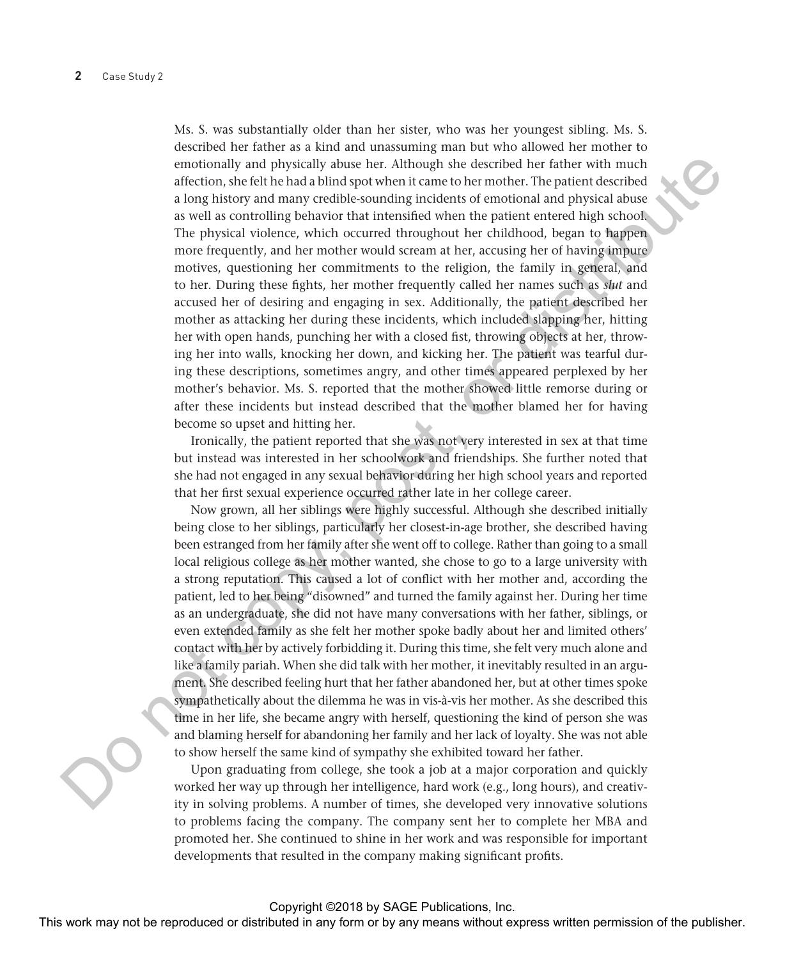Ms. S. was substantially older than her sister, who was her youngest sibling. Ms. S. described her father as a kind and unassuming man but who allowed her mother to emotionally and physically abuse her. Although she described her father with much affection, she felt he had a blind spot when it came to her mother. The patient described a long history and many credible-sounding incidents of emotional and physical abuse as well as controlling behavior that intensified when the patient entered high school. The physical violence, which occurred throughout her childhood, began to happen more frequently, and her mother would scream at her, accusing her of having impure motives, questioning her commitments to the religion, the family in general, and to her. During these fights, her mother frequently called her names such as *slut* and accused her of desiring and engaging in sex. Additionally, the patient described her mother as attacking her during these incidents, which included slapping her, hitting her with open hands, punching her with a closed fist, throwing objects at her, throwing her into walls, knocking her down, and kicking her. The patient was tearful during these descriptions, sometimes angry, and other times appeared perplexed by her mother's behavior. Ms. S. reported that the mother showed little remorse during or after these incidents but instead described that the mother blamed her for having become so upset and hitting her. metrion of the relation of the relation of the right or the right or the right or the right or the right or the right or the right or the right or the right or the right or the right or the right or the right or the publi

Ironically, the patient reported that she was not very interested in sex at that time but instead was interested in her schoolwork and friendships. She further noted that she had not engaged in any sexual behavior during her high school years and reported that her first sexual experience occurred rather late in her college career.

Now grown, all her siblings were highly successful. Although she described initially being close to her siblings, particularly her closest-in-age brother, she described having been estranged from her family after she went off to college. Rather than going to a small local religious college as her mother wanted, she chose to go to a large university with a strong reputation. This caused a lot of conflict with her mother and, according the patient, led to her being "disowned" and turned the family against her. During her time as an undergraduate, she did not have many conversations with her father, siblings, or even extended family as she felt her mother spoke badly about her and limited others' contact with her by actively forbidding it. During this time, she felt very much alone and like a family pariah. When she did talk with her mother, it inevitably resulted in an argument. She described feeling hurt that her father abandoned her, but at other times spoke sympathetically about the dilemma he was in vis-à-vis her mother. As she described this time in her life, she became angry with herself, questioning the kind of person she was and blaming herself for abandoning her family and her lack of loyalty. She was not able to show herself the same kind of sympathy she exhibited toward her father.

Upon graduating from college, she took a job at a major corporation and quickly worked her way up through her intelligence, hard work (e.g., long hours), and creativity in solving problems. A number of times, she developed very innovative solutions to problems facing the company. The company sent her to complete her MBA and promoted her. She continued to shine in her work and was responsible for important developments that resulted in the company making significant profits.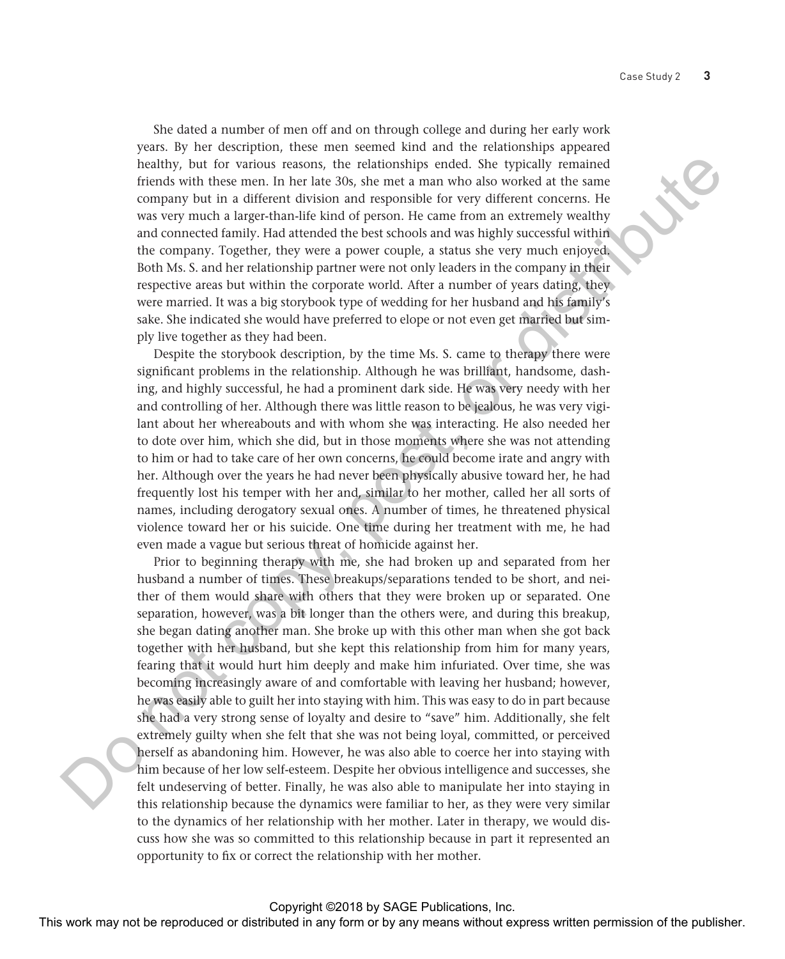She dated a number of men off and on through college and during her early work years. By her description, these men seemed kind and the relationships appeared healthy, but for various reasons, the relationships ended. She typically remained friends with these men. In her late 30s, she met a man who also worked at the same company but in a different division and responsible for very different concerns. He was very much a larger-than-life kind of person. He came from an extremely wealthy and connected family. Had attended the best schools and was highly successful within the company. Together, they were a power couple, a status she very much enjoyed. Both Ms. S. and her relationship partner were not only leaders in the company in their respective areas but within the corporate world. After a number of years dating, they were married. It was a big storybook type of wedding for her husband and his family's sake. She indicated she would have preferred to elope or not even get married but simply live together as they had been.

Despite the storybook description, by the time Ms. S. came to therapy there were significant problems in the relationship. Although he was brilliant, handsome, dashing, and highly successful, he had a prominent dark side. He was very needy with her and controlling of her. Although there was little reason to be jealous, he was very vigilant about her whereabouts and with whom she was interacting. He also needed her to dote over him, which she did, but in those moments where she was not attending to him or had to take care of her own concerns, he could become irate and angry with her. Although over the years he had never been physically abusive toward her, he had frequently lost his temper with her and, similar to her mother, called her all sorts of names, including derogatory sexual ones. A number of times, he threatened physical violence toward her or his suicide. One time during her treatment with me, he had even made a vague but serious threat of homicide against her.

Prior to beginning therapy with me, she had broken up and separated from her husband a number of times. These breakups/separations tended to be short, and neither of them would share with others that they were broken up or separated. One separation, however, was a bit longer than the others were, and during this breakup, she began dating another man. She broke up with this other man when she got back together with her husband, but she kept this relationship from him for many years, fearing that it would hurt him deeply and make him infuriated. Over time, she was becoming increasingly aware of and comfortable with leaving her husband; however, he was easily able to guilt her into staying with him. This was easy to do in part because she had a very strong sense of loyalty and desire to "save" him. Additionally, she felt extremely guilty when she felt that she was not being loyal, committed, or perceived herself as abandoning him. However, he was also able to coerce her into staying with him because of her low self-esteem. Despite her obvious intelligence and successes, she felt undeserving of better. Finally, he was also able to manipulate her into staying in this relationship because the dynamics were familiar to her, as they were very similar to the dynamics of her relationship with her mother. Later in therapy, we would discuss how she was so committed to this relationship because in part it represented an opportunity to fix or correct the relationship with her mother. Indults), that for various the rest consistent methods or distributed in any form or distributed in a single produced for the publisher or distributed in a single produced in a single produced in the publisher of the publ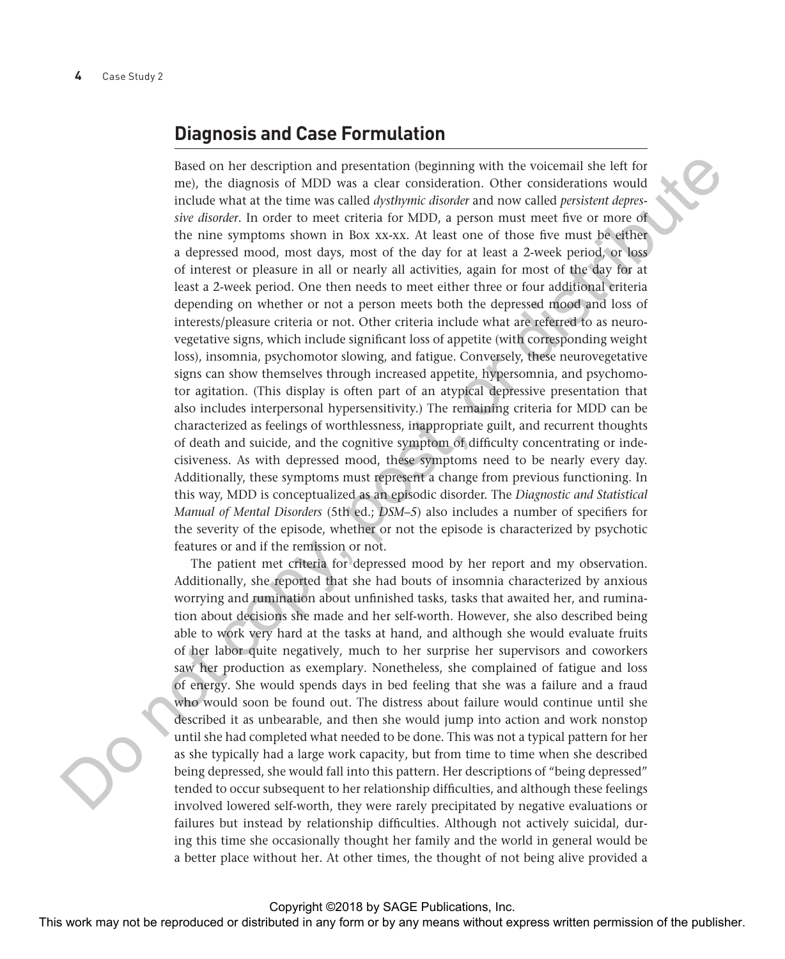## **Diagnosis and Case Formulation**

Based on her description and presentation (beginning with the voicemail she left for me), the diagnosis of MDD was a clear consideration. Other considerations would include what at the time was called *dysthymic disorder* and now called *persistent depressive disorder*. In order to meet criteria for MDD, a person must meet five or more of the nine symptoms shown in Box xx-xx. At least one of those five must be either a depressed mood, most days, most of the day for at least a 2-week period, or loss of interest or pleasure in all or nearly all activities, again for most of the day for at least a 2-week period. One then needs to meet either three or four additional criteria depending on whether or not a person meets both the depressed mood and loss of interests/pleasure criteria or not. Other criteria include what are referred to as neurovegetative signs, which include significant loss of appetite (with corresponding weight loss), insomnia, psychomotor slowing, and fatigue. Conversely, these neurovegetative signs can show themselves through increased appetite, hypersomnia, and psychomotor agitation. (This display is often part of an atypical depressive presentation that also includes interpersonal hypersensitivity.) The remaining criteria for MDD can be characterized as feelings of worthlessness, inappropriate guilt, and recurrent thoughts of death and suicide, and the cognitive symptom of difficulty concentrating or indecisiveness. As with depressed mood, these symptoms need to be nearly every day. Additionally, these symptoms must represent a change from previous functioning. In this way, MDD is conceptualized as an episodic disorder. The *Diagnostic and Statistical Manual of Mental Disorders* (5th ed.; *DSM–5*) also includes a number of specifiers for the severity of the episode, whether or not the episode is characterized by psychotic features or and if the remission or not. Based on the destroyed in the reproduced or distributed in a form or by any means with the representation of the representation of the dentation of the state that the time was not allow produced of the content and produce

The patient met criteria for depressed mood by her report and my observation. Additionally, she reported that she had bouts of insomnia characterized by anxious worrying and rumination about unfinished tasks, tasks that awaited her, and rumination about decisions she made and her self-worth. However, she also described being able to work very hard at the tasks at hand, and although she would evaluate fruits of her labor quite negatively, much to her surprise her supervisors and coworkers saw her production as exemplary. Nonetheless, she complained of fatigue and loss of energy. She would spends days in bed feeling that she was a failure and a fraud who would soon be found out. The distress about failure would continue until she described it as unbearable, and then she would jump into action and work nonstop until she had completed what needed to be done. This was not a typical pattern for her as she typically had a large work capacity, but from time to time when she described being depressed, she would fall into this pattern. Her descriptions of "being depressed" tended to occur subsequent to her relationship difficulties, and although these feelings involved lowered self-worth, they were rarely precipitated by negative evaluations or failures but instead by relationship difficulties. Although not actively suicidal, during this time she occasionally thought her family and the world in general would be a better place without her. At other times, the thought of not being alive provided a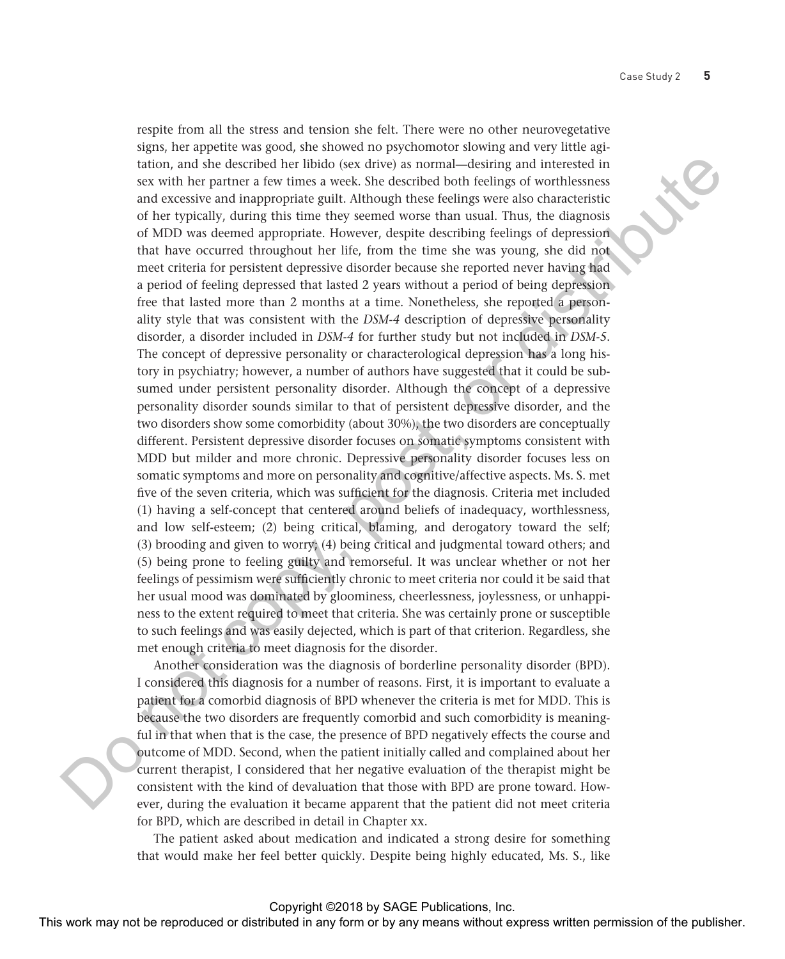respite from all the stress and tension she felt. There were no other neurovegetative signs, her appetite was good, she showed no psychomotor slowing and very little agitation, and she described her libido (sex drive) as normal—desiring and interested in sex with her partner a few times a week. She described both feelings of worthlessness and excessive and inappropriate guilt. Although these feelings were also characteristic of her typically, during this time they seemed worse than usual. Thus, the diagnosis of MDD was deemed appropriate. However, despite describing feelings of depression that have occurred throughout her life, from the time she was young, she did not meet criteria for persistent depressive disorder because she reported never having had a period of feeling depressed that lasted 2 years without a period of being depression free that lasted more than 2 months at a time. Nonetheless, she reported a personality style that was consistent with the *DSM-4* description of depressive personality disorder, a disorder included in *DSM-4* for further study but not included in *DSM-5*. The concept of depressive personality or characterological depression has a long history in psychiatry; however, a number of authors have suggested that it could be subsumed under persistent personality disorder. Although the concept of a depressive personality disorder sounds similar to that of persistent depressive disorder, and the two disorders show some comorbidity (about 30%), the two disorders are conceptually different. Persistent depressive disorder focuses on somatic symptoms consistent with MDD but milder and more chronic. Depressive personality disorder focuses less on somatic symptoms and more on personality and cognitive/affective aspects. Ms. S. met five of the seven criteria, which was sufficient for the diagnosis. Criteria met included (1) having a self-concept that centered around beliefs of inadequacy, worthlessness, and low self-esteem; (2) being critical, blaming, and derogatory toward the self; (3) brooding and given to worry; (4) being critical and judgmental toward others; and (5) being prone to feeling guilty and remorseful. It was unclear whether or not her feelings of pessimism were sufficiently chronic to meet criteria nor could it be said that her usual mood was dominated by gloominess, cheerlessness, joylessness, or unhappiness to the extent required to meet that criteria. She was certainly prone or susceptible to such feelings and was easily dejected, which is part of that criterion. Regardless, she met enough criteria to meet diagnosis for the disorder. tation, and the section or the relation or distributed or distributed in any form or distributed or distributed permission of the publisher or distributed in any form or by any form or by any form or by any form or by any

Another consideration was the diagnosis of borderline personality disorder (BPD). I considered this diagnosis for a number of reasons. First, it is important to evaluate a patient for a comorbid diagnosis of BPD whenever the criteria is met for MDD. This is because the two disorders are frequently comorbid and such comorbidity is meaningful in that when that is the case, the presence of BPD negatively effects the course and outcome of MDD. Second, when the patient initially called and complained about her current therapist, I considered that her negative evaluation of the therapist might be consistent with the kind of devaluation that those with BPD are prone toward. However, during the evaluation it became apparent that the patient did not meet criteria for BPD, which are described in detail in Chapter xx.

The patient asked about medication and indicated a strong desire for something that would make her feel better quickly. Despite being highly educated, Ms. S., like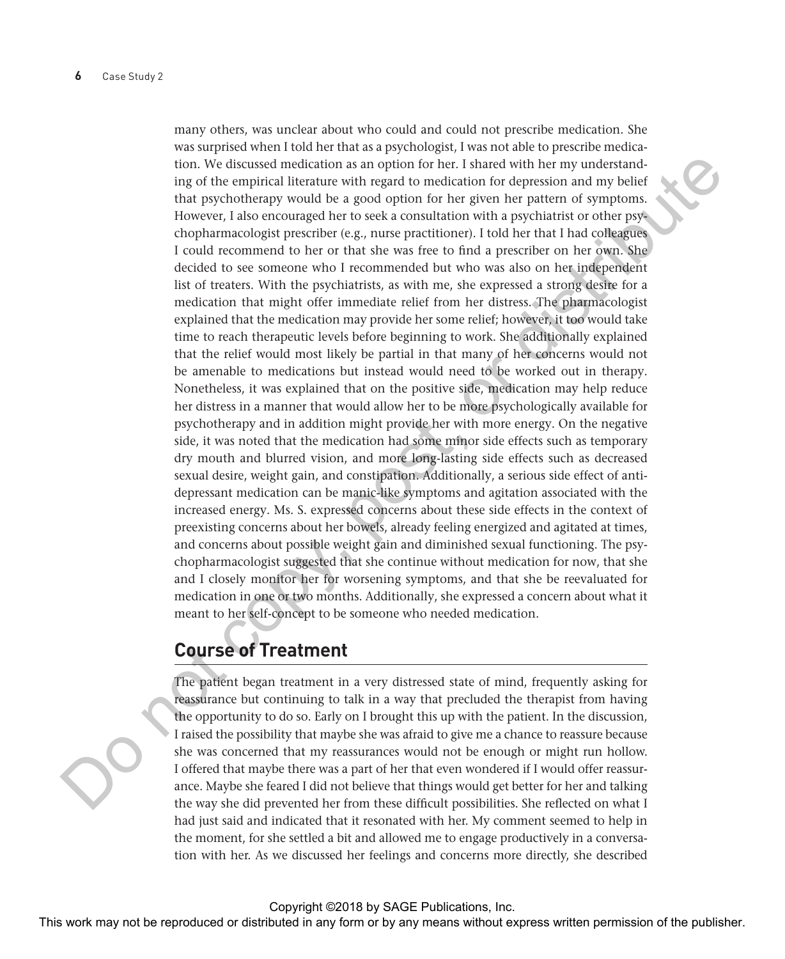many others, was unclear about who could and could not prescribe medication. She was surprised when I told her that as a psychologist, I was not able to prescribe medication. We discussed medication as an option for her. I shared with her my understanding of the empirical literature with regard to medication for depression and my belief that psychotherapy would be a good option for her given her pattern of symptoms. However, I also encouraged her to seek a consultation with a psychiatrist or other psychopharmacologist prescriber (e.g., nurse practitioner). I told her that I had colleagues I could recommend to her or that she was free to find a prescriber on her own. She decided to see someone who I recommended but who was also on her independent list of treaters. With the psychiatrists, as with me, she expressed a strong desire for a medication that might offer immediate relief from her distress. The pharmacologist explained that the medication may provide her some relief; however, it too would take time to reach therapeutic levels before beginning to work. She additionally explained that the relief would most likely be partial in that many of her concerns would not be amenable to medications but instead would need to be worked out in therapy. Nonetheless, it was explained that on the positive side, medication may help reduce her distress in a manner that would allow her to be more psychologically available for psychotherapy and in addition might provide her with more energy. On the negative side, it was noted that the medication had some minor side effects such as temporary dry mouth and blurred vision, and more long-lasting side effects such as decreased sexual desire, weight gain, and constipation. Additionally, a serious side effect of antidepressant medication can be manic-like symptoms and agitation associated with the increased energy. Ms. S. expressed concerns about these side effects in the context of preexisting concerns about her bowels, already feeling energized and agitated at times, and concerns about possible weight gain and diminished sexual functioning. The psychopharmacologist suggested that she continue without medication for now, that she and I closely monitor her for worsening symptoms, and that she be reevaluated for medication in one or two months. Additionally, she expressed a concern about what it meant to her self-concept to be someone who needed medication. tion. We observe the transmit may are or distributed with the ray on a shall that the publisher. The reproduced in a positive or the publisher of the publishers with the publisher of the publisher. This exposure is the pu

## **Course of Treatment**

The patient began treatment in a very distressed state of mind, frequently asking for reassurance but continuing to talk in a way that precluded the therapist from having the opportunity to do so. Early on I brought this up with the patient. In the discussion, I raised the possibility that maybe she was afraid to give me a chance to reassure because she was concerned that my reassurances would not be enough or might run hollow. I offered that maybe there was a part of her that even wondered if I would offer reassurance. Maybe she feared I did not believe that things would get better for her and talking the way she did prevented her from these difficult possibilities. She reflected on what I had just said and indicated that it resonated with her. My comment seemed to help in the moment, for she settled a bit and allowed me to engage productively in a conversation with her. As we discussed her feelings and concerns more directly, she described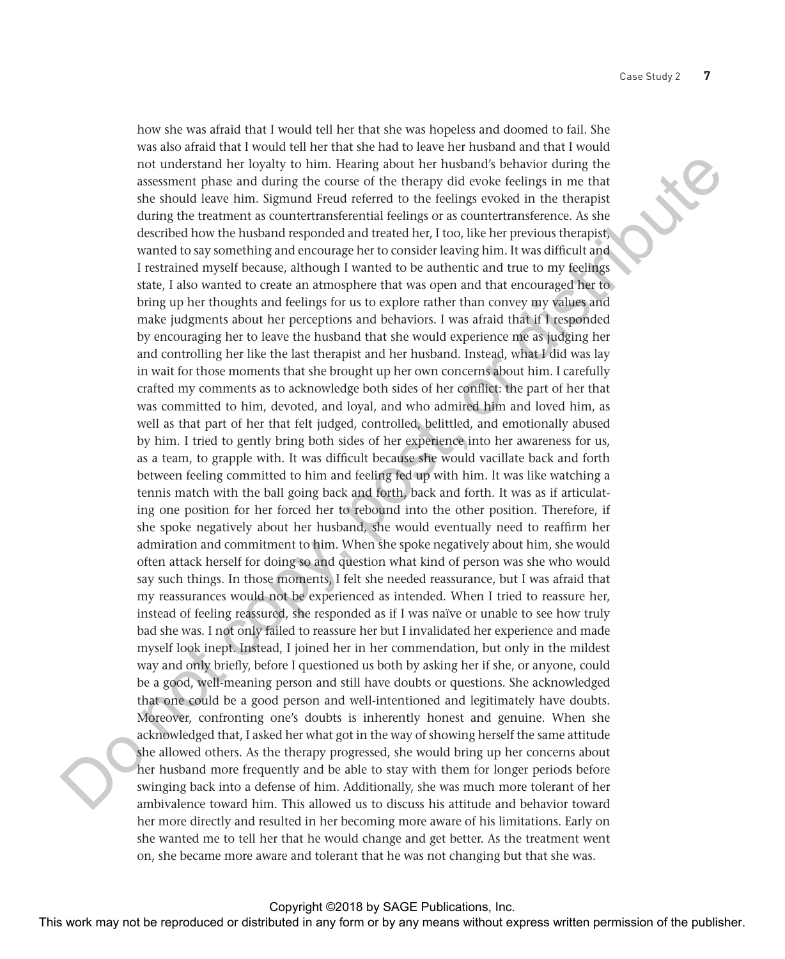how she was afraid that I would tell her that she was hopeless and doomed to fail. She was also afraid that I would tell her that she had to leave her husband and that I would not understand her loyalty to him. Hearing about her husband's behavior during the assessment phase and during the course of the therapy did evoke feelings in me that she should leave him. Sigmund Freud referred to the feelings evoked in the therapist during the treatment as countertransferential feelings or as countertransference. As she described how the husband responded and treated her, I too, like her previous therapist, wanted to say something and encourage her to consider leaving him. It was difficult and I restrained myself because, although I wanted to be authentic and true to my feelings state, I also wanted to create an atmosphere that was open and that encouraged her to bring up her thoughts and feelings for us to explore rather than convey my values and make judgments about her perceptions and behaviors. I was afraid that if I responded by encouraging her to leave the husband that she would experience me as judging her and controlling her like the last therapist and her husband. Instead, what I did was lay in wait for those moments that she brought up her own concerns about him. I carefully crafted my comments as to acknowledge both sides of her conflict: the part of her that was committed to him, devoted, and loyal, and who admired him and loved him, as well as that part of her that felt judged, controlled, belittled, and emotionally abused by him. I tried to gently bring both sides of her experience into her awareness for us, as a team, to grapple with. It was difficult because she would vacillate back and forth between feeling committed to him and feeling fed up with him. It was like watching a tennis match with the ball going back and forth, back and forth. It was as if articulating one position for her forced her to rebound into the other position. Therefore, if she spoke negatively about her husband, she would eventually need to reaffirm her admiration and commitment to him. When she spoke negatively about him, she would often attack herself for doing so and question what kind of person was she who would say such things. In those moments, I felt she needed reassurance, but I was afraid that my reassurances would not be experienced as intended. When I tried to reassure her, instead of feeling reassured, she responded as if I was naïve or unable to see how truly bad she was. I not only failed to reassure her but I invalidated her experience and made myself look inept. Instead, I joined her in her commendation, but only in the mildest way and only briefly, before I questioned us both by asking her if she, or anyone, could be a good, well-meaning person and still have doubts or questions. She acknowledged that one could be a good person and well-intentioned and legitimately have doubts. Moreover, confronting one's doubts is inherently honest and genuine. When she acknowledged that, I asked her what got in the way of showing herself the same attitude she allowed others. As the therapy progressed, she would bring up her concerns about her husband more frequently and be able to stay with them for longer periods before swinging back into a defense of him. Additionally, she was much more tolerant of her ambivalence toward him. This allowed us to discuss his attitude and behavior toward her more directly and resulted in her becoming more aware of his limitations. Early on she wanted me to tell her that he would change and get better. As the treatment went on, she became more aware and tolerant that he was not changing but that she was. not understand the fraction or the rest of the fraction of the section of the section or the reproduced in a section of the rest of the section of the rest of the section of the publisher. This were not be reproduced in a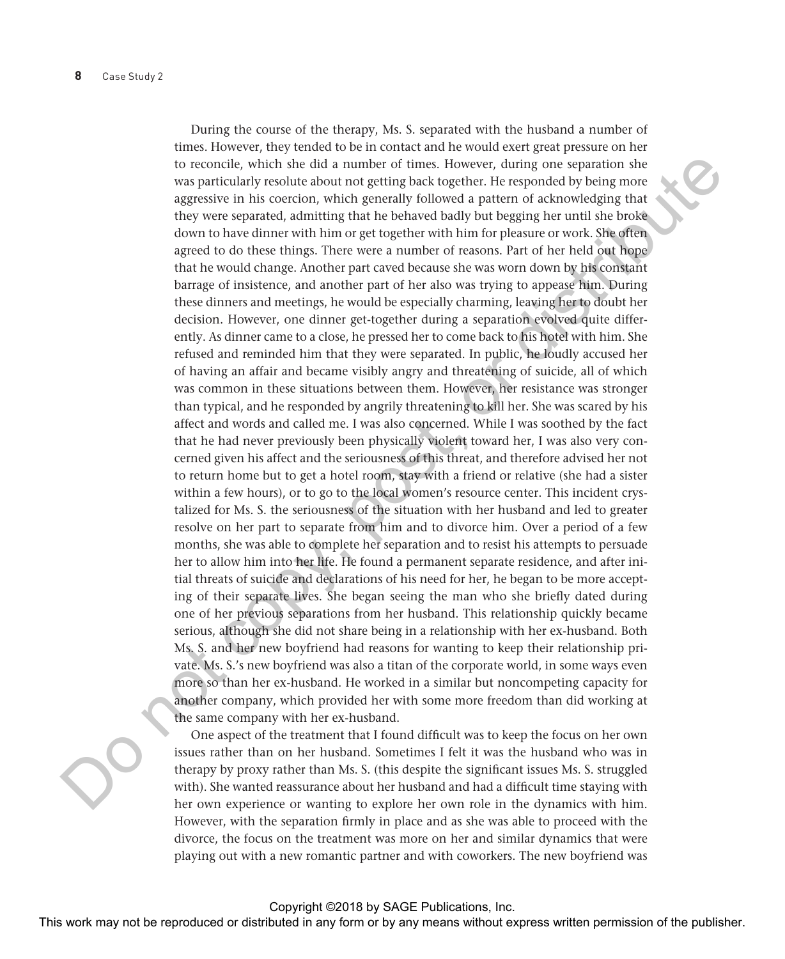During the course of the therapy, Ms. S. separated with the husband a number of times. However, they tended to be in contact and he would exert great pressure on her to reconcile, which she did a number of times. However, during one separation she was particularly resolute about not getting back together. He responded by being more aggressive in his coercion, which generally followed a pattern of acknowledging that they were separated, admitting that he behaved badly but begging her until she broke down to have dinner with him or get together with him for pleasure or work. She often agreed to do these things. There were a number of reasons. Part of her held out hope that he would change. Another part caved because she was worn down by his constant barrage of insistence, and another part of her also was trying to appease him. During these dinners and meetings, he would be especially charming, leaving her to doubt her decision. However, one dinner get-together during a separation evolved quite differently. As dinner came to a close, he pressed her to come back to his hotel with him. She refused and reminded him that they were separated. In public, he loudly accused her of having an affair and became visibly angry and threatening of suicide, all of which was common in these situations between them. However, her resistance was stronger than typical, and he responded by angrily threatening to kill her. She was scared by his affect and words and called me. I was also concerned. While I was soothed by the fact that he had never previously been physically violent toward her, I was also very concerned given his affect and the seriousness of this threat, and therefore advised her not to return home but to get a hotel room, stay with a friend or relative (she had a sister within a few hours), or to go to the local women's resource center. This incident crystalized for Ms. S. the seriousness of the situation with her husband and led to greater resolve on her part to separate from him and to divorce him. Over a period of a few months, she was able to complete her separation and to resist his attempts to persuade her to allow him into her life. He found a permanent separate residence, and after initial threats of suicide and declarations of his need for her, he began to be more accepting of their separate lives. She began seeing the man who she briefly dated during one of her previous separations from her husband. This relationship quickly became serious, although she did not share being in a relationship with her ex-husband. Both Ms. S. and her new boyfriend had reasons for wanting to keep their relationship private. Ms. S.'s new boyfriend was also a titan of the corporate world, in some ways even more so than her ex-husband. He worked in a similar but noncompeting capacity for another company, which provided her with some more freedom than did working at the same company with her ex-husband. In recession, the state of the rest of this converte, their quantity in the system or between the representation of the rest of the rest of the system or by any permission of the rest or the system or distributed in a mea

One aspect of the treatment that I found difficult was to keep the focus on her own issues rather than on her husband. Sometimes I felt it was the husband who was in therapy by proxy rather than Ms. S. (this despite the significant issues Ms. S. struggled with). She wanted reassurance about her husband and had a difficult time staying with her own experience or wanting to explore her own role in the dynamics with him. However, with the separation firmly in place and as she was able to proceed with the divorce, the focus on the treatment was more on her and similar dynamics that were playing out with a new romantic partner and with coworkers. The new boyfriend was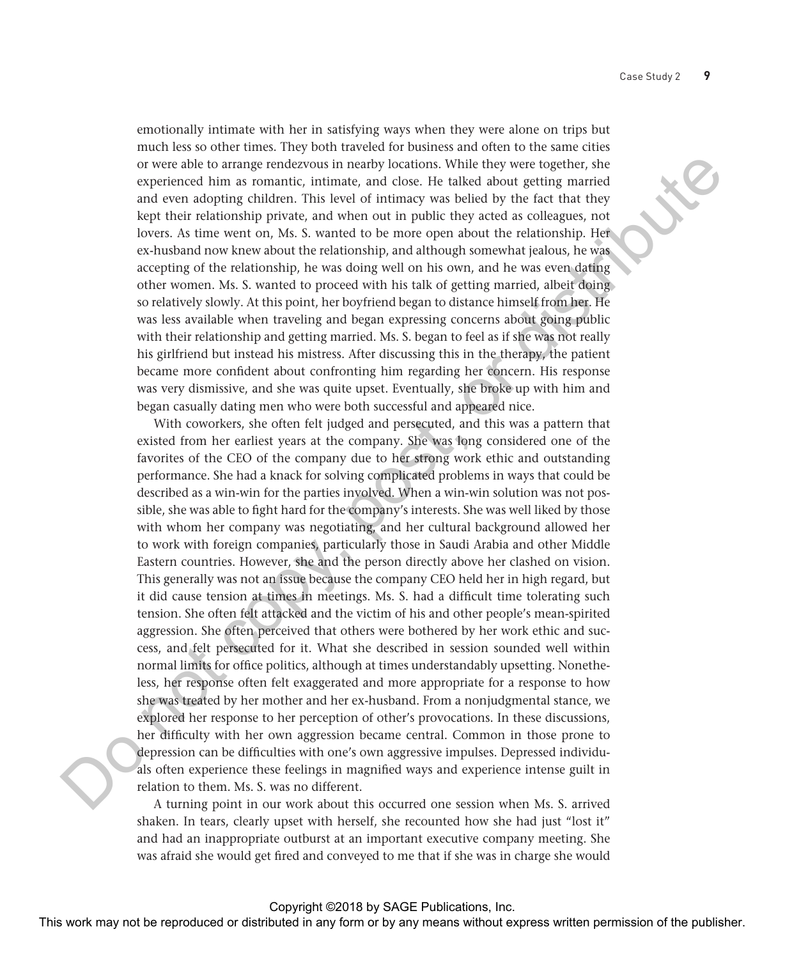emotionally intimate with her in satisfying ways when they were alone on trips but much less so other times. They both traveled for business and often to the same cities or were able to arrange rendezvous in nearby locations. While they were together, she experienced him as romantic, intimate, and close. He talked about getting married and even adopting children. This level of intimacy was belied by the fact that they kept their relationship private, and when out in public they acted as colleagues, not lovers. As time went on, Ms. S. wanted to be more open about the relationship. Her ex-husband now knew about the relationship, and although somewhat jealous, he was accepting of the relationship, he was doing well on his own, and he was even dating other women. Ms. S. wanted to proceed with his talk of getting married, albeit doing so relatively slowly. At this point, her boyfriend began to distance himself from her. He was less available when traveling and began expressing concerns about going public with their relationship and getting married. Ms. S. began to feel as if she was not really his girlfriend but instead his mistress. After discussing this in the therapy, the patient became more confident about confronting him regarding her concern. His response was very dismissive, and she was quite upset. Eventually, she broke up with him and began casually dating men who were both successful and appeared nice.

With coworkers, she often felt judged and persecuted, and this was a pattern that existed from her earliest years at the company. She was long considered one of the favorites of the CEO of the company due to her strong work ethic and outstanding performance. She had a knack for solving complicated problems in ways that could be described as a win-win for the parties involved. When a win-win solution was not possible, she was able to fight hard for the company's interests. She was well liked by those with whom her company was negotiating, and her cultural background allowed her to work with foreign companies, particularly those in Saudi Arabia and other Middle Eastern countries. However, she and the person directly above her clashed on vision. This generally was not an issue because the company CEO held her in high regard, but it did cause tension at times in meetings. Ms. S. had a difficult time tolerating such tension. She often felt attacked and the victim of his and other people's mean-spirited aggression. She often perceived that others were bothered by her work ethic and success, and felt persecuted for it. What she described in session sounded well within normal limits for office politics, although at times understandably upsetting. Nonetheless, her response often felt exaggerated and more appropriate for a response to how she was treated by her mother and her ex-husband. From a nonjudgmental stance, we explored her response to her perception of other's provocations. In these discussions, her difficulty with her own aggression became central. Common in those prone to depression can be difficulties with one's own aggressive impulses. Depressed individuals often experience these feelings in magnified ways and experience intense guilt in relation to them. Ms. S. was no different. The most be a more than the rest or the control or the rest of the rest or the rest or the rest or the rest or the rest or the rest or the rest or the rest or the rest or the rest or the rest or the rest or the rest or the

A turning point in our work about this occurred one session when Ms. S. arrived shaken. In tears, clearly upset with herself, she recounted how she had just "lost it" and had an inappropriate outburst at an important executive company meeting. She was afraid she would get fired and conveyed to me that if she was in charge she would